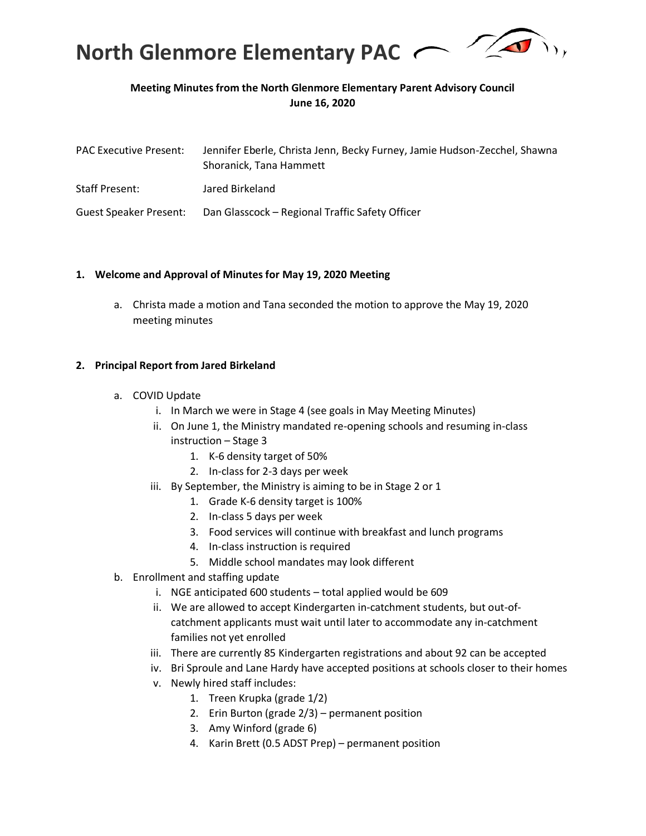

# **Meeting Minutes from the North Glenmore Elementary Parent Advisory Council June 16, 2020**

| <b>PAC Executive Present:</b> | Jennifer Eberle, Christa Jenn, Becky Furney, Jamie Hudson-Zecchel, Shawna<br>Shoranick, Tana Hammett |
|-------------------------------|------------------------------------------------------------------------------------------------------|
| <b>Staff Present:</b>         | Jared Birkeland                                                                                      |
| Guest Speaker Present:        | Dan Glasscock - Regional Traffic Safety Officer                                                      |

#### **1. Welcome and Approval of Minutes for May 19, 2020 Meeting**

a. Christa made a motion and Tana seconded the motion to approve the May 19, 2020 meeting minutes

### **2. Principal Report from Jared Birkeland**

- a. COVID Update
	- i. In March we were in Stage 4 (see goals in May Meeting Minutes)
	- ii. On June 1, the Ministry mandated re-opening schools and resuming in-class instruction – Stage 3
		- 1. K-6 density target of 50%
		- 2. In-class for 2-3 days per week
	- iii. By September, the Ministry is aiming to be in Stage 2 or 1
		- 1. Grade K-6 density target is 100%
		- 2. In-class 5 days per week
		- 3. Food services will continue with breakfast and lunch programs
		- 4. In-class instruction is required
		- 5. Middle school mandates may look different
- b. Enrollment and staffing update
	- i. NGE anticipated 600 students total applied would be 609
	- ii. We are allowed to accept Kindergarten in-catchment students, but out-ofcatchment applicants must wait until later to accommodate any in-catchment families not yet enrolled
	- iii. There are currently 85 Kindergarten registrations and about 92 can be accepted
	- iv. Bri Sproule and Lane Hardy have accepted positions at schools closer to their homes
	- v. Newly hired staff includes:
		- 1. Treen Krupka (grade 1/2)
		- 2. Erin Burton (grade 2/3) permanent position
		- 3. Amy Winford (grade 6)
		- 4. Karin Brett (0.5 ADST Prep) permanent position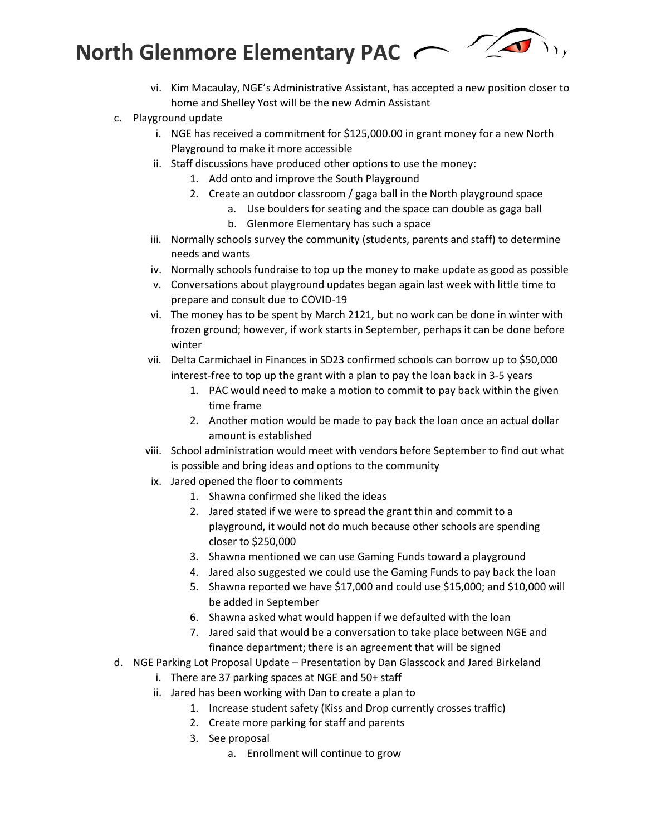**North Glenmore Elementary PAC** 



- vi. Kim Macaulay, NGE's Administrative Assistant, has accepted a new position closer to home and Shelley Yost will be the new Admin Assistant
- c. Playground update
	- i. NGE has received a commitment for \$125,000.00 in grant money for a new North Playground to make it more accessible
	- ii. Staff discussions have produced other options to use the money:
		- 1. Add onto and improve the South Playground
		- 2. Create an outdoor classroom / gaga ball in the North playground space
			- a. Use boulders for seating and the space can double as gaga ball
			- b. Glenmore Elementary has such a space
	- iii. Normally schools survey the community (students, parents and staff) to determine needs and wants
	- iv. Normally schools fundraise to top up the money to make update as good as possible
	- v. Conversations about playground updates began again last week with little time to prepare and consult due to COVID-19
	- vi. The money has to be spent by March 2121, but no work can be done in winter with frozen ground; however, if work starts in September, perhaps it can be done before winter
	- vii. Delta Carmichael in Finances in SD23 confirmed schools can borrow up to \$50,000 interest-free to top up the grant with a plan to pay the loan back in 3-5 years
		- 1. PAC would need to make a motion to commit to pay back within the given time frame
		- 2. Another motion would be made to pay back the loan once an actual dollar amount is established
	- viii. School administration would meet with vendors before September to find out what is possible and bring ideas and options to the community
	- ix. Jared opened the floor to comments
		- 1. Shawna confirmed she liked the ideas
		- 2. Jared stated if we were to spread the grant thin and commit to a playground, it would not do much because other schools are spending closer to \$250,000
		- 3. Shawna mentioned we can use Gaming Funds toward a playground
		- 4. Jared also suggested we could use the Gaming Funds to pay back the loan
		- 5. Shawna reported we have \$17,000 and could use \$15,000; and \$10,000 will be added in September
		- 6. Shawna asked what would happen if we defaulted with the loan
		- 7. Jared said that would be a conversation to take place between NGE and finance department; there is an agreement that will be signed
- d. NGE Parking Lot Proposal Update Presentation by Dan Glasscock and Jared Birkeland
	- i. There are 37 parking spaces at NGE and 50+ staff
	- ii. Jared has been working with Dan to create a plan to
		- 1. Increase student safety (Kiss and Drop currently crosses traffic)
		- 2. Create more parking for staff and parents
		- 3. See proposal
			- a. Enrollment will continue to grow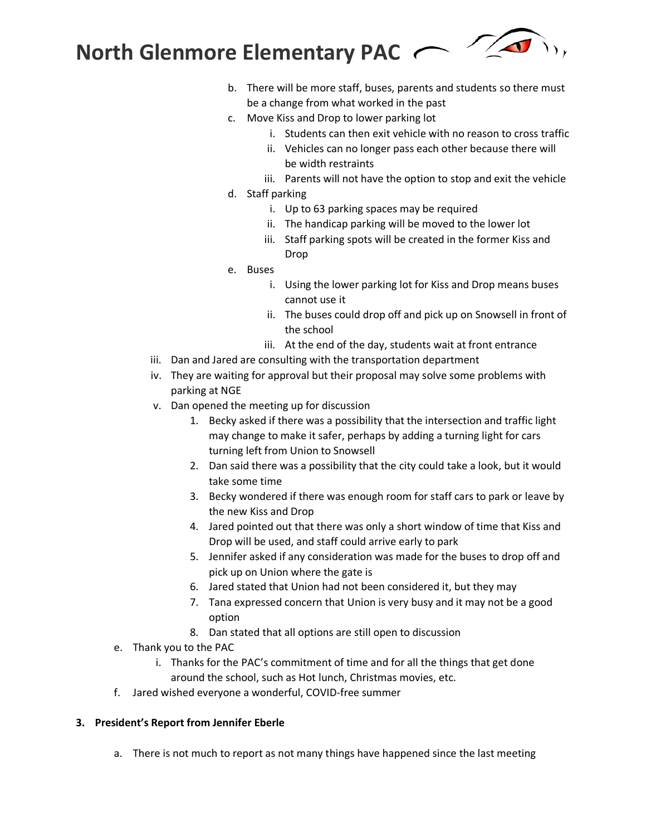

- b. There will be more staff, buses, parents and students so there must be a change from what worked in the past
- c. Move Kiss and Drop to lower parking lot
	- i. Students can then exit vehicle with no reason to cross traffic
	- ii. Vehicles can no longer pass each other because there will be width restraints
	- iii. Parents will not have the option to stop and exit the vehicle
- d. Staff parking
	- i. Up to 63 parking spaces may be required
	- ii. The handicap parking will be moved to the lower lot
	- iii. Staff parking spots will be created in the former Kiss and Drop
- e. Buses
	- i. Using the lower parking lot for Kiss and Drop means buses cannot use it
	- ii. The buses could drop off and pick up on Snowsell in front of the school
	- iii. At the end of the day, students wait at front entrance
- iii. Dan and Jared are consulting with the transportation department
- iv. They are waiting for approval but their proposal may solve some problems with parking at NGE
- v. Dan opened the meeting up for discussion
	- 1. Becky asked if there was a possibility that the intersection and traffic light may change to make it safer, perhaps by adding a turning light for cars turning left from Union to Snowsell
	- 2. Dan said there was a possibility that the city could take a look, but it would take some time
	- 3. Becky wondered if there was enough room for staff cars to park or leave by the new Kiss and Drop
	- 4. Jared pointed out that there was only a short window of time that Kiss and Drop will be used, and staff could arrive early to park
	- 5. Jennifer asked if any consideration was made for the buses to drop off and pick up on Union where the gate is
	- 6. Jared stated that Union had not been considered it, but they may
	- 7. Tana expressed concern that Union is very busy and it may not be a good option
	- 8. Dan stated that all options are still open to discussion
- e. Thank you to the PAC
	- i. Thanks for the PAC's commitment of time and for all the things that get done around the school, such as Hot lunch, Christmas movies, etc.
- f. Jared wished everyone a wonderful, COVID-free summer

# **3. President's Report from Jennifer Eberle**

a. There is not much to report as not many things have happened since the last meeting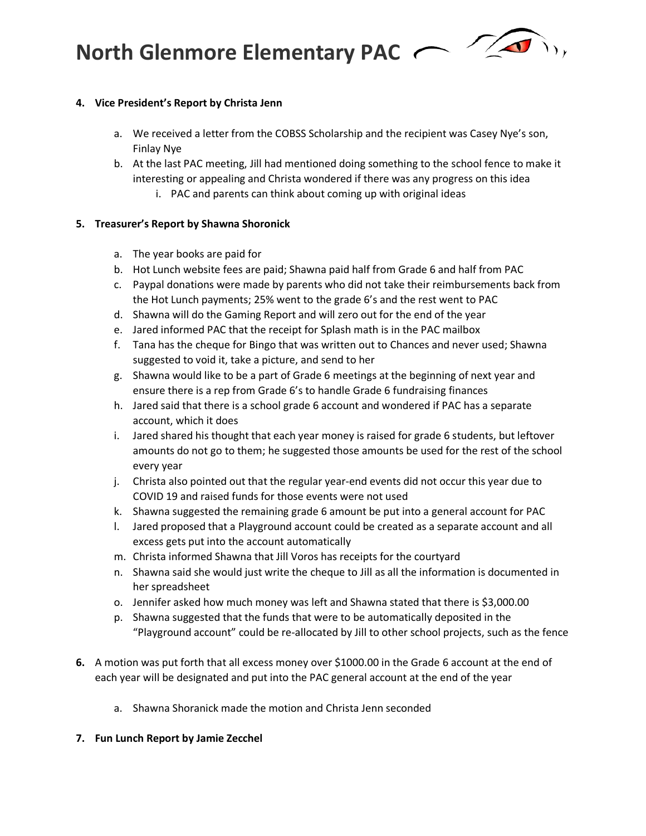**North Glenmore Elementary PAC** 



### **4. Vice President's Report by Christa Jenn**

- a. We received a letter from the COBSS Scholarship and the recipient was Casey Nye's son, Finlay Nye
- b. At the last PAC meeting, Jill had mentioned doing something to the school fence to make it interesting or appealing and Christa wondered if there was any progress on this idea
	- i. PAC and parents can think about coming up with original ideas

## **5. Treasurer's Report by Shawna Shoronick**

- a. The year books are paid for
- b. Hot Lunch website fees are paid; Shawna paid half from Grade 6 and half from PAC
- c. Paypal donations were made by parents who did not take their reimbursements back from the Hot Lunch payments; 25% went to the grade 6's and the rest went to PAC
- d. Shawna will do the Gaming Report and will zero out for the end of the year
- e. Jared informed PAC that the receipt for Splash math is in the PAC mailbox
- f. Tana has the cheque for Bingo that was written out to Chances and never used; Shawna suggested to void it, take a picture, and send to her
- g. Shawna would like to be a part of Grade 6 meetings at the beginning of next year and ensure there is a rep from Grade 6's to handle Grade 6 fundraising finances
- h. Jared said that there is a school grade 6 account and wondered if PAC has a separate account, which it does
- i. Jared shared his thought that each year money is raised for grade 6 students, but leftover amounts do not go to them; he suggested those amounts be used for the rest of the school every year
- j. Christa also pointed out that the regular year-end events did not occur this year due to COVID 19 and raised funds for those events were not used
- k. Shawna suggested the remaining grade 6 amount be put into a general account for PAC
- l. Jared proposed that a Playground account could be created as a separate account and all excess gets put into the account automatically
- m. Christa informed Shawna that Jill Voros has receipts for the courtyard
- n. Shawna said she would just write the cheque to Jill as all the information is documented in her spreadsheet
- o. Jennifer asked how much money was left and Shawna stated that there is \$3,000.00
- p. Shawna suggested that the funds that were to be automatically deposited in the "Playground account" could be re-allocated by Jill to other school projects, such as the fence
- **6.** A motion was put forth that all excess money over \$1000.00 in the Grade 6 account at the end of each year will be designated and put into the PAC general account at the end of the year
	- a. Shawna Shoranick made the motion and Christa Jenn seconded

## **7. Fun Lunch Report by Jamie Zecchel**